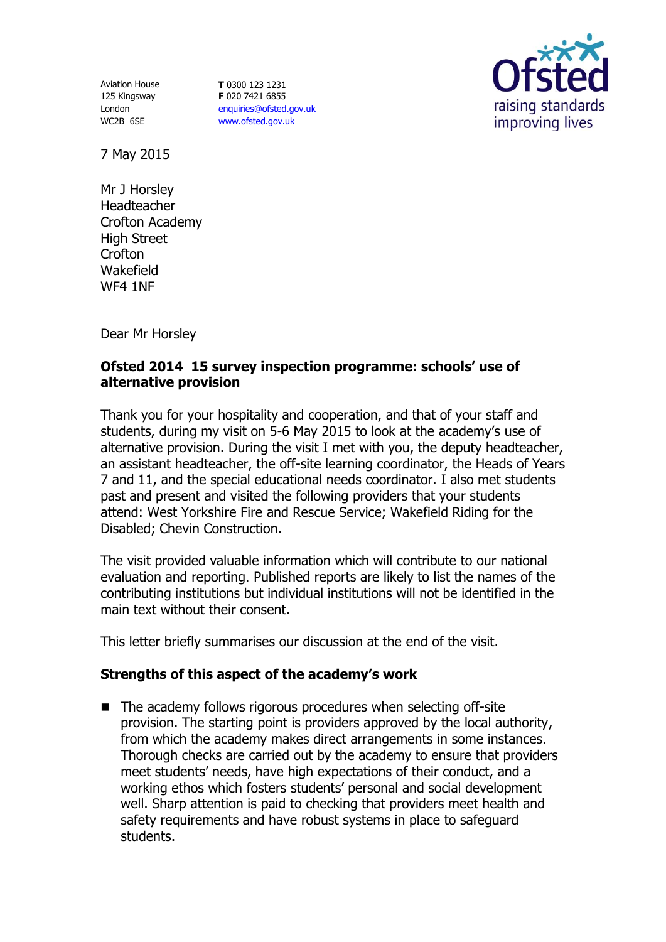Aviation House 125 Kingsway London WC2B 6SE

**T** 0300 123 1231 **F** 020 7421 6855 [enquiries@ofsted.gov.uk](mailto:enquiries@ofsted.gov.uk) [www.ofsted.gov.uk](http://www.ofsted.gov.uk/)



7 May 2015

Mr J Horsley Headteacher Crofton Academy High Street Crofton Wakefield WF4 1NF

Dear Mr Horsley

## **Ofsted 2014 15 survey inspection programme: schools' use of alternative provision**

Thank you for your hospitality and cooperation, and that of your staff and students, during my visit on 5-6 May 2015 to look at the academy's use of alternative provision. During the visit I met with you, the deputy headteacher, an assistant headteacher, the off-site learning coordinator, the Heads of Years 7 and 11, and the special educational needs coordinator. I also met students past and present and visited the following providers that your students attend: West Yorkshire Fire and Rescue Service; Wakefield Riding for the Disabled; Chevin Construction.

The visit provided valuable information which will contribute to our national evaluation and reporting. Published reports are likely to list the names of the contributing institutions but individual institutions will not be identified in the main text without their consent.

This letter briefly summarises our discussion at the end of the visit.

## **Strengths of this aspect of the academy's work**

■ The academy follows rigorous procedures when selecting off-site provision. The starting point is providers approved by the local authority, from which the academy makes direct arrangements in some instances. Thorough checks are carried out by the academy to ensure that providers meet students' needs, have high expectations of their conduct, and a working ethos which fosters students' personal and social development well. Sharp attention is paid to checking that providers meet health and safety requirements and have robust systems in place to safeguard students.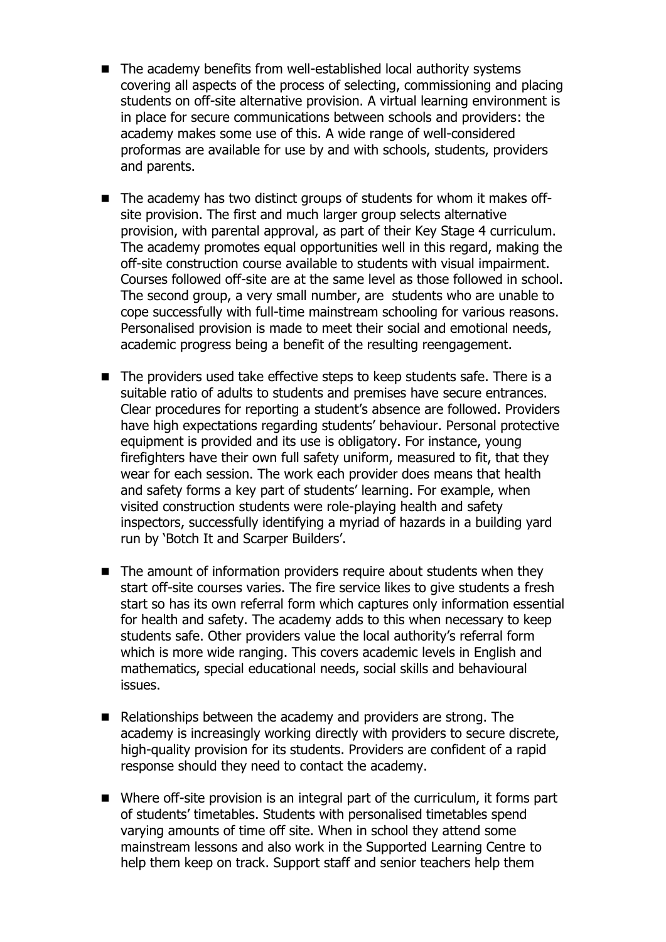- The academy benefits from well-established local authority systems covering all aspects of the process of selecting, commissioning and placing students on off-site alternative provision. A virtual learning environment is in place for secure communications between schools and providers: the academy makes some use of this. A wide range of well-considered proformas are available for use by and with schools, students, providers and parents.
- The academy has two distinct groups of students for whom it makes offsite provision. The first and much larger group selects alternative provision, with parental approval, as part of their Key Stage 4 curriculum. The academy promotes equal opportunities well in this regard, making the off-site construction course available to students with visual impairment. Courses followed off-site are at the same level as those followed in school. The second group, a very small number, are students who are unable to cope successfully with full-time mainstream schooling for various reasons. Personalised provision is made to meet their social and emotional needs, academic progress being a benefit of the resulting reengagement.
- The providers used take effective steps to keep students safe. There is a suitable ratio of adults to students and premises have secure entrances. Clear procedures for reporting a student's absence are followed. Providers have high expectations regarding students' behaviour. Personal protective equipment is provided and its use is obligatory. For instance, young firefighters have their own full safety uniform, measured to fit, that they wear for each session. The work each provider does means that health and safety forms a key part of students' learning. For example, when visited construction students were role-playing health and safety inspectors, successfully identifying a myriad of hazards in a building yard run by 'Botch It and Scarper Builders'.
- The amount of information providers require about students when they start off-site courses varies. The fire service likes to give students a fresh start so has its own referral form which captures only information essential for health and safety. The academy adds to this when necessary to keep students safe. Other providers value the local authority's referral form which is more wide ranging. This covers academic levels in English and mathematics, special educational needs, social skills and behavioural issues.
- Relationships between the academy and providers are strong. The academy is increasingly working directly with providers to secure discrete, high-quality provision for its students. Providers are confident of a rapid response should they need to contact the academy.
- Where off-site provision is an integral part of the curriculum, it forms part of students' timetables. Students with personalised timetables spend varying amounts of time off site. When in school they attend some mainstream lessons and also work in the Supported Learning Centre to help them keep on track. Support staff and senior teachers help them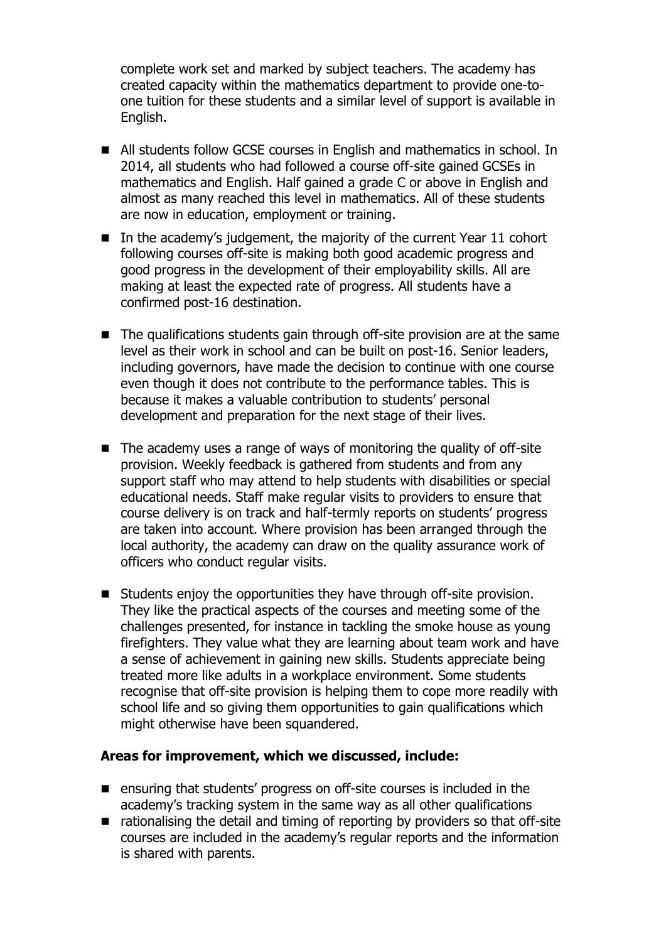complete work set and marked by subject teachers. The academy has created capacity within the mathematics department to provide one-toone tuition for these students and a similar level of support is available in English.

- All students follow GCSE courses in English and mathematics in school. In 2014, all students who had followed a course off-site gained GCSEs in mathematics and English. Half gained a grade C or above in English and almost as many reached this level in mathematics. All of these students are now in education, employment or training.
- In the academy's judgement, the majority of the current Year 11 cohort following courses off-site is making both good academic progress and good progress in the development of their employability skills. All are making at least the expected rate of progress. All students have a confirmed post-16 destination.
- The qualifications students gain through off-site provision are at the same level as their work in school and can be built on post-16. Senior leaders, including governors, have made the decision to continue with one course even though it does not contribute to the performance tables. This is because it makes a valuable contribution to students' personal development and preparation for the next stage of their lives.
- The academy uses a range of ways of monitoring the quality of off-site provision. Weekly feedback is gathered from students and from any support staff who may attend to help students with disabilities or special educational needs. Staff make regular visits to providers to ensure that course delivery is on track and half-termly reports on students' progress are taken into account. Where provision has been arranged through the local authority, the academy can draw on the quality assurance work of officers who conduct regular visits.
- Students enjoy the opportunities they have through off-site provision. They like the practical aspects of the courses and meeting some of the challenges presented, for instance in tackling the smoke house as young firefighters. They value what they are learning about team work and have a sense of achievement in gaining new skills. Students appreciate being treated more like adults in a workplace environment. Some students recognise that off-site provision is helping them to cope more readily with school life and so giving them opportunities to gain qualifications which might otherwise have been squandered.

## **Areas for improvement, which we discussed, include:**

- ensuring that students' progress on off-site courses is included in the academy's tracking system in the same way as all other qualifications
- rationalising the detail and timing of reporting by providers so that off-site courses are included in the academy's regular reports and the information is shared with parents.